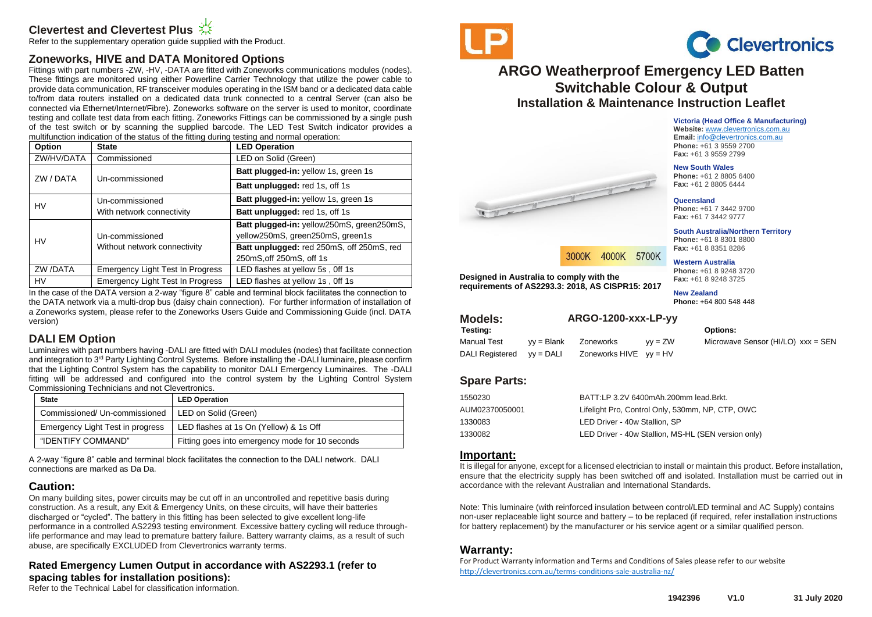# **Clevertest and Clevertest Plus**

Refer to the supplementary operation guide supplied with the Product.

## **Zoneworks, HIVE and DATA Monitored Options**

Fittings with part numbers -ZW, -HV, -DATA are fitted with Zoneworks communications modules (nodes). These fittings are monitored using either Powerline Carrier Technology that utilize the power cable to provide data communication, RF transceiver modules operating in the ISM band or a dedicated data cable to/from data routers installed on a dedicated data trunk connected to a central Server (can also be connected via Ethernet/Internet/Fibre). Zoneworks software on the server is used to monitor, coordinate testing and collate test data from each fitting. Zoneworks Fittings can be commissioned by a single push of the test switch or by scanning the supplied barcode. The LED Test Switch indicator provides a multifunction indication of the status of the fitting during testing and normal operation:

| Option     | <b>State</b>                            | <b>LED Operation</b>                      |
|------------|-----------------------------------------|-------------------------------------------|
| ZW/HV/DATA | Commissioned                            | LED on Solid (Green)                      |
| ZW / DATA  | Un-commissioned                         | Batt plugged-in: yellow 1s, green 1s      |
|            |                                         | Batt unplugged: red 1s, off 1s            |
| HV         | Un-commissioned                         | Batt plugged-in: yellow 1s, green 1s      |
|            | With network connectivity               | Batt unplugged: red 1s, off 1s            |
| HV         |                                         | Batt plugged-in: yellow250mS, green250mS, |
|            | Un-commissioned                         | yellow250mS, green250mS, green1s          |
|            | Without network connectivity            | Batt unplugged: red 250mS, off 250mS, red |
|            |                                         | 250mS, off 250mS, off 1s                  |
| ZW /DATA   | <b>Emergency Light Test In Progress</b> | LED flashes at yellow 5s, Off 1s          |
| HV         | Emergency Light Test In Progress        | LED flashes at yellow 1s, Off 1s          |

In the case of the DATA version a 2-way "figure 8" cable and terminal block facilitates the connection to the DATA network via a multi-drop bus (daisy chain connection). For further information of installation of a Zoneworks system, please refer to the Zoneworks Users Guide and Commissioning Guide (incl. DATA version)

## **DALI EM Option**

Luminaires with part numbers having -DALI are fitted with DALI modules (nodes) that facilitate connection and integration to 3<sup>rd</sup> Party Lighting Control Systems. Before installing the -DALI luminaire, please confirm that the Lighting Control System has the capability to monitor DALI Emergency Luminaires. The -DALI fitting will be addressed and configured into the control system by the Lighting Control System Commissioning Technicians and not Clevertronics.

| <b>State</b>                     | <b>LED Operation</b>                            |  |  |
|----------------------------------|-------------------------------------------------|--|--|
| Commissioned/ Un-commissioned    | LED on Solid (Green)                            |  |  |
| Emergency Light Test in progress | LED flashes at 1s On (Yellow) & 1s Off          |  |  |
| "IDENTIFY COMMAND"               | Fitting goes into emergency mode for 10 seconds |  |  |

A 2-way "figure 8" cable and terminal block facilitates the connection to the DALI network. DALI connections are marked as Da Da.

## **Caution:**

On many building sites, power circuits may be cut off in an uncontrolled and repetitive basis during construction. As a result, any Exit & Emergency Units, on these circuits, will have their batteries discharged or "cycled". The battery in this fitting has been selected to give excellent long-life performance in a controlled AS2293 testing environment. Excessive battery cycling will reduce throughlife performance and may lead to premature battery failure. Battery warranty claims, as a result of such abuse, are specifically EXCLUDED from Clevertronics warranty terms.

### **Rated Emergency Lumen Output in accordance with AS2293.1 (refer to spacing tables for installation positions):**

Refer to the Technical Label for classification information.





# **ARGO Weatherproof Emergency LED Batten Switchable Colour & Output Installation & Maintenance Instruction Leaflet**

**Victoria (Head Office & Manufacturing) Website:** [www.clevertronics.com.au](http://www.clevertronics.com.au/) **Email:** info@clevertronics.com.au **Phone:** +61 3 9559 2700 **Fax:** +61 3 9559 2799

**New South Wales**

**Phone:** +61 2 8805 6400 **Fax:** +61 2 8805 6444



**Phone:** +61 7 3442 9700 **Fax:** +61 7 3442 9777

**South Australia/Northern Territory Phone:** +61 8 8301 8800 **Fax:** +61 8 8351 8286

#### **Western Australia**

**Phone:** +61 8 9248 3720 **Fax:** +61 8 9248 3725

**New Zealand Phone:** +64 800 548 448

| <b>Models:</b>  | ARGO-1200-xxx-LP-yy |                            |           |                                    |
|-----------------|---------------------|----------------------------|-----------|------------------------------------|
| Testing:        |                     |                            |           | <b>Options:</b>                    |
| Manual Test     | $vv = Blank$        | Zoneworks                  | $vv = ZW$ | Microwave Sensor (HI/LO) xxx = SEN |
| DALI Registered | vv = DALI           | Zoneworks $HIVE$ $yy = HV$ |           |                                    |
|                 |                     |                            |           |                                    |

## **Spare Parts:**

**Designed in Australia to comply with the** 

Walter House

**requirements of AS2293.3: 2018, AS CISPR15: 2017**

| 1550230        | BATT:LP 3.2V 6400mAh.200mm lead.Brkt.               |
|----------------|-----------------------------------------------------|
| AUM02370050001 | Lifelight Pro, Control Only, 530mm, NP, CTP, OWC    |
| 1330083        | LED Driver - 40w Stallion, SP                       |
| 1330082        | LED Driver - 40w Stallion, MS-HL (SEN version only) |
|                |                                                     |

3000K 4000K 5700K

### **Important:**

It is illegal for anyone, except for a licensed electrician to install or maintain this product. Before installation, ensure that the electricity supply has been switched off and isolated. Installation must be carried out in accordance with the relevant Australian and International Standards.

Note: This luminaire (with reinforced insulation between control/LED terminal and AC Supply) contains non-user replaceable light source and battery – to be replaced (if required, refer installation instructions for battery replacement) by the manufacturer or his service agent or a similar qualified person.

## **Warranty:**

For Product Warranty information and Terms and Conditions of Sales please refer to our website <http://clevertronics.com.au/terms-conditions-sale-australia-nz/>